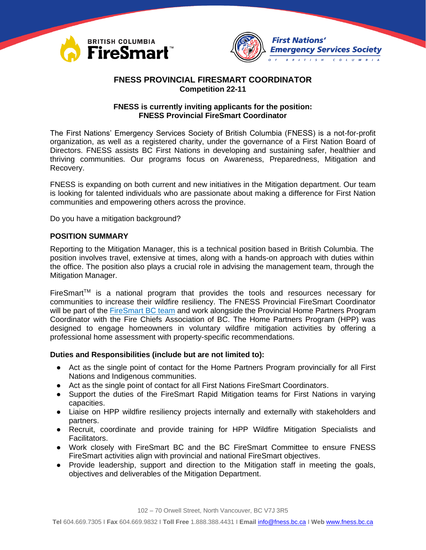



# **FNESS PROVINCIAL FIRESMART COORDINATOR Competition 22-11**

## **FNESS is currently inviting applicants for the position: FNESS Provincial FireSmart Coordinator**

The First Nations' Emergency Services Society of British Columbia (FNESS) is a not-for-profit organization, as well as a registered charity, under the governance of a First Nation Board of Directors. FNESS assists BC First Nations in developing and sustaining safer, healthier and thriving communities. Our programs focus on Awareness, Preparedness, Mitigation and Recovery.

FNESS is expanding on both current and new initiatives in the Mitigation department. Our team is looking for talented individuals who are passionate about making a difference for First Nation communities and empowering others across the province.

Do you have a mitigation background?

## **POSITION SUMMARY**

Reporting to the Mitigation Manager, this is a technical position based in British Columbia. The position involves travel, extensive at times, along with a hands-on approach with duties within the office. The position also plays a crucial role in advising the management team, through the Mitigation Manager.

FireSmart<sup>™</sup> is a national program that provides the tools and resources necessary for communities to increase their wildfire resiliency. The FNESS Provincial FireSmart Coordinator will be part of the [FireSmart BC team](https://firesmartbc.ca/who-we-are/) and work alongside the Provincial Home Partners Program Coordinator with the Fire Chiefs Association of BC. The Home Partners Program (HPP) was designed to engage homeowners in voluntary wildfire mitigation activities by offering a professional home assessment with property-specific recommendations.

#### **Duties and Responsibilities (include but are not limited to):**

- Act as the single point of contact for the Home Partners Program provincially for all First Nations and Indigenous communities.
- Act as the single point of contact for all First Nations FireSmart Coordinators.
- Support the duties of the FireSmart Rapid Mitigation teams for First Nations in varying capacities.
- Liaise on HPP wildfire resiliency projects internally and externally with stakeholders and partners.
- Recruit, coordinate and provide training for HPP Wildfire Mitigation Specialists and Facilitators.
- Work closely with FireSmart BC and the BC FireSmart Committee to ensure FNESS FireSmart activities align with provincial and national FireSmart objectives.
- Provide leadership, support and direction to the Mitigation staff in meeting the goals, objectives and deliverables of the Mitigation Department.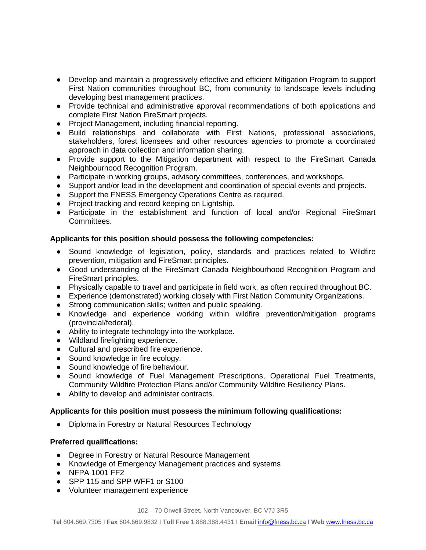- Develop and maintain a progressively effective and efficient Mitigation Program to support First Nation communities throughout BC, from community to landscape levels including developing best management practices.
- Provide technical and administrative approval recommendations of both applications and complete First Nation FireSmart projects.
- Project Management, including financial reporting.
- Build relationships and collaborate with First Nations, professional associations, stakeholders, forest licensees and other resources agencies to promote a coordinated approach in data collection and information sharing.
- Provide support to the Mitigation department with respect to the FireSmart Canada Neighbourhood Recognition Program.
- Participate in working groups, advisory committees, conferences, and workshops.
- Support and/or lead in the development and coordination of special events and projects.
- Support the FNESS Emergency Operations Centre as required.
- Project tracking and record keeping on Lightship.
- Participate in the establishment and function of local and/or Regional FireSmart Committees.

## **Applicants for this position should possess the following competencies:**

- Sound knowledge of legislation, policy, standards and practices related to Wildfire prevention, mitigation and FireSmart principles.
- Good understanding of the FireSmart Canada Neighbourhood Recognition Program and FireSmart principles.
- Physically capable to travel and participate in field work, as often required throughout BC.
- Experience (demonstrated) working closely with First Nation Community Organizations.
- Strong communication skills; written and public speaking.
- Knowledge and experience working within wildfire prevention/mitigation programs (provincial/federal).
- Ability to integrate technology into the workplace.
- Wildland firefighting experience.
- Cultural and prescribed fire experience.
- Sound knowledge in fire ecology.
- Sound knowledge of fire behaviour.
- Sound knowledge of Fuel Management Prescriptions, Operational Fuel Treatments, Community Wildfire Protection Plans and/or Community Wildfire Resiliency Plans.
- Ability to develop and administer contracts.

#### **Applicants for this position must possess the minimum following qualifications:**

● Diploma in Forestry or Natural Resources Technology

## **Preferred qualifications:**

- Degree in Forestry or Natural Resource Management
- Knowledge of Emergency Management practices and systems
- NFPA 1001 FF2
- SPP 115 and SPP WFF1 or S100
- Volunteer management experience